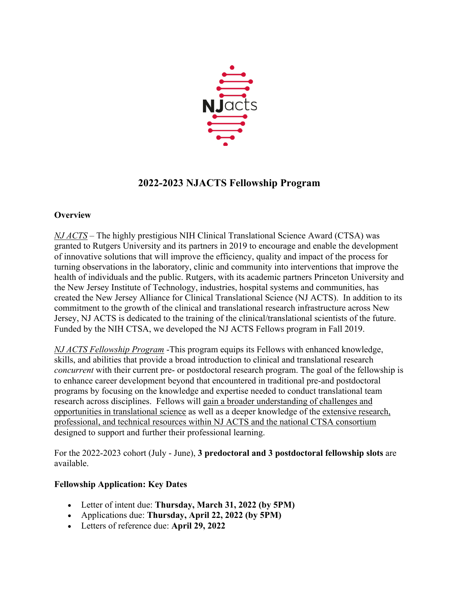

# **2022-2023 NJACTS Fellowship Program**

### **Overview**

*NJ ACTS* – The highly prestigious NIH Clinical Translational Science Award (CTSA) was granted to Rutgers University and its partners in 2019 to encourage and enable the development of innovative solutions that will improve the efficiency, quality and impact of the process for turning observations in the laboratory, clinic and community into interventions that improve the health of individuals and the public. Rutgers, with its academic partners Princeton University and the New Jersey Institute of Technology, industries, hospital systems and communities, has created the New Jersey Alliance for Clinical Translational Science (NJ ACTS). In addition to its commitment to the growth of the clinical and translational research infrastructure across New Jersey, NJ ACTS is dedicated to the training of the clinical/translational scientists of the future. Funded by the NIH CTSA, we developed the NJ ACTS Fellows program in Fall 2019.

*NJ ACTS Fellowship Program* -This program equips its Fellows with enhanced knowledge, skills, and abilities that provide a broad introduction to clinical and translational research *concurrent* with their current pre- or postdoctoral research program. The goal of the fellowship is to enhance career development beyond that encountered in traditional pre-and postdoctoral programs by focusing on the knowledge and expertise needed to conduct translational team research across disciplines. Fellows will gain a broader understanding of challenges and opportunities in translational science as well as a deeper knowledge of the extensive research, professional, and technical resources within NJ ACTS and the national CTSA consortium designed to support and further their professional learning.

For the 2022-2023 cohort (July - June), **3 predoctoral and 3 postdoctoral fellowship slots** are available.

# **Fellowship Application: Key Dates**

- Letter of intent due: **Thursday, March 31, 2022 (by 5PM)**
- Applications due: **Thursday, April 22, 2022 (by 5PM)**
- Letters of reference due: **April 29, 2022**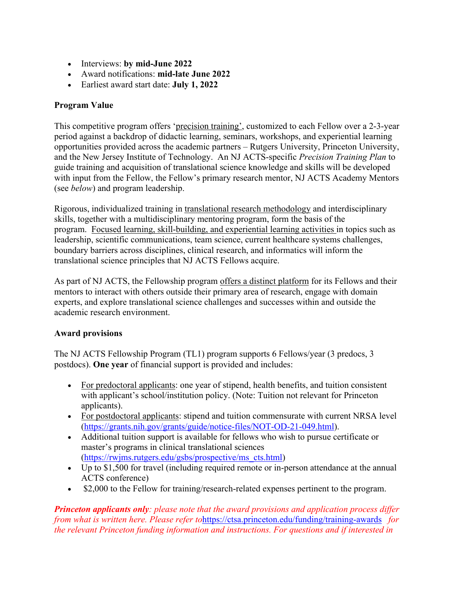- Interviews: **by mid-June 2022**
- Award notifications: **mid-late June 2022**
- Earliest award start date: **July 1, 2022**

#### **Program Value**

This competitive program offers 'precision training', customized to each Fellow over a 2-3-year period against a backdrop of didactic learning, seminars, workshops, and experiential learning opportunities provided across the academic partners – Rutgers University, Princeton University, and the New Jersey Institute of Technology. An NJ ACTS-specific *Precision Training Plan* to guide training and acquisition of translational science knowledge and skills will be developed with input from the Fellow, the Fellow's primary research mentor, NJ ACTS Academy Mentors (see *below*) and program leadership.

Rigorous, individualized training in translational research methodology and interdisciplinary skills, together with a multidisciplinary mentoring program, form the basis of the program. Focused learning, skill-building, and experiential learning activities in topics such as leadership, scientific communications, team science, current healthcare systems challenges, boundary barriers across disciplines, clinical research, and informatics will inform the translational science principles that NJ ACTS Fellows acquire.

As part of NJ ACTS, the Fellowship program offers a distinct platform for its Fellows and their mentors to interact with others outside their primary area of research, engage with domain experts, and explore translational science challenges and successes within and outside the academic research environment.

#### **Award provisions**

The NJ ACTS Fellowship Program (TL1) program supports 6 Fellows/year (3 predocs, 3 postdocs). **One year** of financial support is provided and includes:

- For predoctoral applicants: one year of stipend, health benefits, and tuition consistent with applicant's school/institution policy. (Note: Tuition not relevant for Princeton applicants).
- For postdoctoral applicants: stipend and tuition commensurate with current NRSA level (https://grants.nih.gov/grants/guide/notice-files/NOT-OD-21-049.html).
- Additional tuition support is available for fellows who wish to pursue certificate or master's programs in clinical translational sciences (https://rwjms.rutgers.edu/gsbs/prospective/ms\_cts.html)
- Up to \$1,500 for travel (including required remote or in-person attendance at the annual ACTS conference)
- \$2,000 to the Fellow for training/research-related expenses pertinent to the program.

*Princeton applicants only: please note that the award provisions and application process differ from what is written here. Please refer to*https://ctsa.princeton.edu/funding/training-awards *for the relevant Princeton funding information and instructions. For questions and if interested in*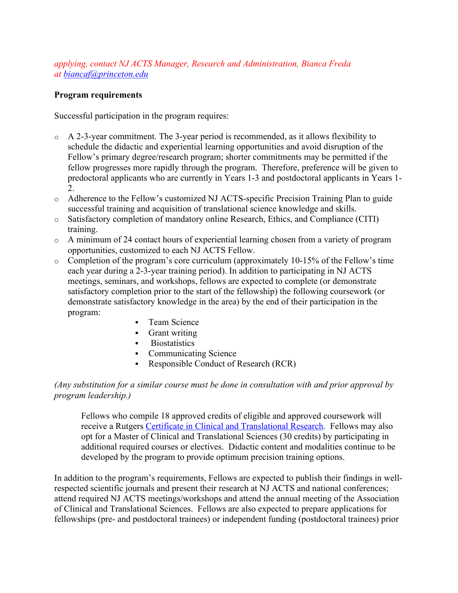*applying, contact NJ ACTS Manager, Research and Administration, Bianca Freda at biancaf@princeton.edu*

#### **Program requirements**

Successful participation in the program requires:

- $\circ$  A 2-3-year commitment. The 3-year period is recommended, as it allows flexibility to schedule the didactic and experiential learning opportunities and avoid disruption of the Fellow's primary degree/research program; shorter commitments may be permitted if the fellow progresses more rapidly through the program. Therefore, preference will be given to predoctoral applicants who are currently in Years 1-3 and postdoctoral applicants in Years 1- 2.
- o Adherence to the Fellow's customized NJ ACTS-specific Precision Training Plan to guide successful training and acquisition of translational science knowledge and skills.
- o Satisfactory completion of mandatory online Research, Ethics, and Compliance (CITI) training.
- o A minimum of 24 contact hours of experiential learning chosen from a variety of program opportunities, customized to each NJ ACTS Fellow.
- o Completion of the program's core curriculum (approximately 10-15% of the Fellow's time each year during a 2-3-year training period). In addition to participating in NJ ACTS meetings, seminars, and workshops, fellows are expected to complete (or demonstrate satisfactory completion prior to the start of the fellowship) the following coursework (or demonstrate satisfactory knowledge in the area) by the end of their participation in the program:
	- Team Science
	- § Grant writing
	- § Biostatistics
	- Communicating Science
	- Responsible Conduct of Research (RCR)

#### *(Any substitution for a similar course must be done in consultation with and prior approval by program leadership.)*

Fellows who compile 18 approved credits of eligible and approved coursework will receive a Rutgers Certificate in Clinical and Translational Research. Fellows may also opt for a Master of Clinical and Translational Sciences (30 credits) by participating in additional required courses or electives. Didactic content and modalities continue to be developed by the program to provide optimum precision training options.

In addition to the program's requirements, Fellows are expected to publish their findings in wellrespected scientific journals and present their research at NJ ACTS and national conferences; attend required NJ ACTS meetings/workshops and attend the annual meeting of the Association of Clinical and Translational Sciences. Fellows are also expected to prepare applications for fellowships (pre- and postdoctoral trainees) or independent funding (postdoctoral trainees) prior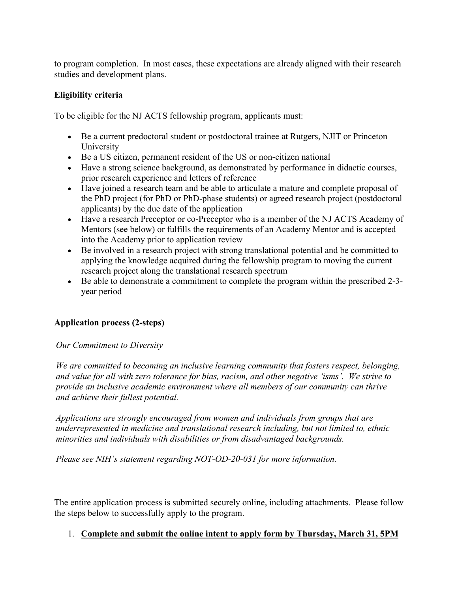to program completion. In most cases, these expectations are already aligned with their research studies and development plans.

### **Eligibility criteria**

To be eligible for the NJ ACTS fellowship program, applicants must:

- Be a current predoctoral student or postdoctoral trainee at Rutgers, NJIT or Princeton University
- Be a US citizen, permanent resident of the US or non-citizen national
- Have a strong science background, as demonstrated by performance in didactic courses, prior research experience and letters of reference
- Have joined a research team and be able to articulate a mature and complete proposal of the PhD project (for PhD or PhD-phase students) or agreed research project (postdoctoral applicants) by the due date of the application
- Have a research Preceptor or co-Preceptor who is a member of the NJ ACTS Academy of Mentors (see below) or fulfills the requirements of an Academy Mentor and is accepted into the Academy prior to application review
- Be involved in a research project with strong translational potential and be committed to applying the knowledge acquired during the fellowship program to moving the current research project along the translational research spectrum
- Be able to demonstrate a commitment to complete the program within the prescribed 2-3 year period

# **Application process (2-steps)**

*Our Commitment to Diversity*

*We are committed to becoming an inclusive learning community that fosters respect, belonging, and value for all with zero tolerance for bias, racism, and other negative 'isms'. We strive to provide an inclusive academic environment where all members of our community can thrive and achieve their fullest potential.*

*Applications are strongly encouraged from women and individuals from groups that are underrepresented in medicine and translational research including, but not limited to, ethnic minorities and individuals with disabilities or from disadvantaged backgrounds.*

*Please see NIH's statement regarding NOT-OD-20-031 for more information.*

The entire application process is submitted securely online, including attachments. Please follow the steps below to successfully apply to the program.

#### 1. **Complete and submit the online intent to apply form by Thursday, March 31, 5PM**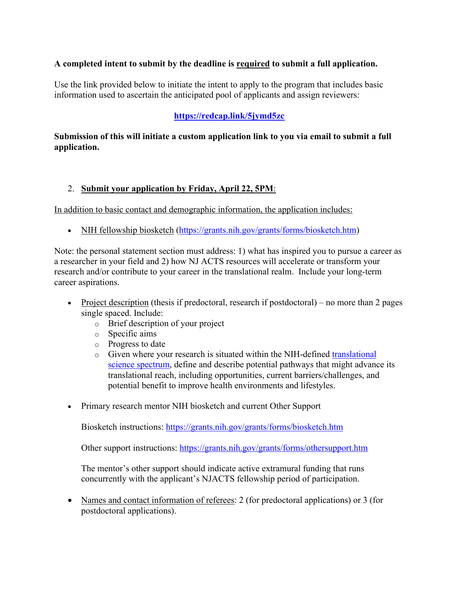# **A completed intent to submit by the deadline is required to submit a full application.**

Use the link provided below to initiate the intent to apply to the program that includes basic information used to ascertain the anticipated pool of applicants and assign reviewers:

### **https://redcap.link/5jymd5zc**

#### **Submission of this will initiate a custom application link to you via email to submit a full application.**

#### 2. **Submit your application by Friday, April 22, 5PM**:

In addition to basic contact and demographic information, the application includes:

• NIH fellowship biosketch (https://grants.nih.gov/grants/forms/biosketch.htm)

Note: the personal statement section must address: 1) what has inspired you to pursue a career as a researcher in your field and 2) how NJ ACTS resources will accelerate or transform your research and/or contribute to your career in the translational realm. Include your long-term career aspirations.

- Project description (thesis if predoctoral, research if postdoctoral) no more than 2 pages single spaced. Include:
	- o Brief description of your project
	- o Specific aims
	- o Progress to date
	- $\circ$  Given where your research is situated within the NIH-defined translational science spectrum, define and describe potential pathways that might advance its translational reach, including opportunities, current barriers/challenges, and potential benefit to improve health environments and lifestyles.
- Primary research mentor NIH biosketch and current Other Support

Biosketch instructions: https://grants.nih.gov/grants/forms/biosketch.htm

Other support instructions: https://grants.nih.gov/grants/forms/othersupport.htm

The mentor's other support should indicate active extramural funding that runs concurrently with the applicant's NJACTS fellowship period of participation.

• Names and contact information of referees: 2 (for predoctoral applications) or 3 (for postdoctoral applications).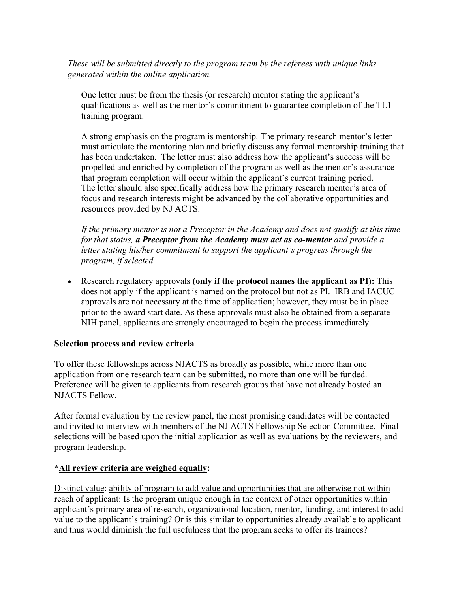*These will be submitted directly to the program team by the referees with unique links generated within the online application.*

One letter must be from the thesis (or research) mentor stating the applicant's qualifications as well as the mentor's commitment to guarantee completion of the TL1 training program.

A strong emphasis on the program is mentorship. The primary research mentor's letter must articulate the mentoring plan and briefly discuss any formal mentorship training that has been undertaken. The letter must also address how the applicant's success will be propelled and enriched by completion of the program as well as the mentor's assurance that program completion will occur within the applicant's current training period. The letter should also specifically address how the primary research mentor's area of focus and research interests might be advanced by the collaborative opportunities and resources provided by NJ ACTS.

*If the primary mentor is not a Preceptor in the Academy and does not qualify at this time for that status, a Preceptor from the Academy must act as co-mentor and provide a letter stating his/her commitment to support the applicant's progress through the program, if selected.*

• Research regulatory approvals **(only if the protocol names the applicant as PI):** This does not apply if the applicant is named on the protocol but not as PI. IRB and IACUC approvals are not necessary at the time of application; however, they must be in place prior to the award start date. As these approvals must also be obtained from a separate NIH panel, applicants are strongly encouraged to begin the process immediately.

#### **Selection process and review criteria**

To offer these fellowships across NJACTS as broadly as possible, while more than one application from one research team can be submitted, no more than one will be funded. Preference will be given to applicants from research groups that have not already hosted an NJACTS Fellow.

After formal evaluation by the review panel, the most promising candidates will be contacted and invited to interview with members of the NJ ACTS Fellowship Selection Committee. Final selections will be based upon the initial application as well as evaluations by the reviewers, and program leadership.

#### **\*All review criteria are weighed equally:**

Distinct value: ability of program to add value and opportunities that are otherwise not within reach of applicant: Is the program unique enough in the context of other opportunities within applicant's primary area of research, organizational location, mentor, funding, and interest to add value to the applicant's training? Or is this similar to opportunities already available to applicant and thus would diminish the full usefulness that the program seeks to offer its trainees?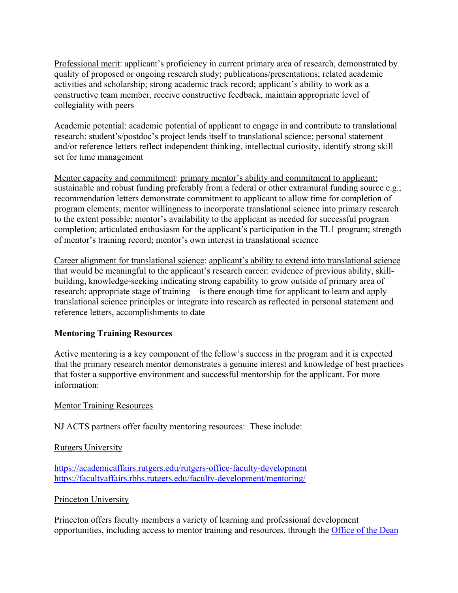Professional merit: applicant's proficiency in current primary area of research, demonstrated by quality of proposed or ongoing research study; publications/presentations; related academic activities and scholarship; strong academic track record; applicant's ability to work as a constructive team member, receive constructive feedback, maintain appropriate level of collegiality with peers

Academic potential: academic potential of applicant to engage in and contribute to translational research: student's/postdoc's project lends itself to translational science; personal statement and/or reference letters reflect independent thinking, intellectual curiosity, identify strong skill set for time management

Mentor capacity and commitment: primary mentor's ability and commitment to applicant: sustainable and robust funding preferably from a federal or other extramural funding source e.g.; recommendation letters demonstrate commitment to applicant to allow time for completion of program elements; mentor willingness to incorporate translational science into primary research to the extent possible; mentor's availability to the applicant as needed for successful program completion; articulated enthusiasm for the applicant's participation in the TL1 program; strength of mentor's training record; mentor's own interest in translational science

Career alignment for translational science: applicant's ability to extend into translational science that would be meaningful to the applicant's research career: evidence of previous ability, skillbuilding, knowledge-seeking indicating strong capability to grow outside of primary area of research; appropriate stage of training – is there enough time for applicant to learn and apply translational science principles or integrate into research as reflected in personal statement and reference letters, accomplishments to date

# **Mentoring Training Resources**

Active mentoring is a key component of the fellow's success in the program and it is expected that the primary research mentor demonstrates a genuine interest and knowledge of best practices that foster a supportive environment and successful mentorship for the applicant. For more information:

#### Mentor Training Resources

NJ ACTS partners offer faculty mentoring resources: These include:

#### Rutgers University

https://academicaffairs.rutgers.edu/rutgers-office-faculty-development https://facultyaffairs.rbhs.rutgers.edu/faculty-development/mentoring/

#### Princeton University

Princeton offers faculty members a variety of learning and professional development opportunities, including access to mentor training and resources, through the Office of the Dean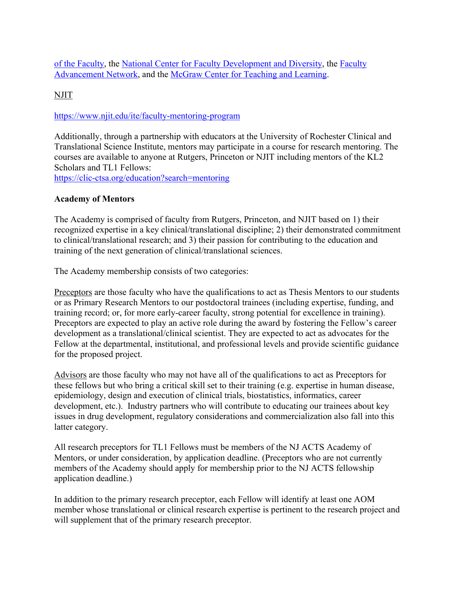of the Faculty, the National Center for Faculty Development and Diversity, the Faculty Advancement Network, and the McGraw Center for Teaching and Learning.

NJIT

#### https://www.njit.edu/ite/faculty-mentoring-program

Additionally, through a partnership with educators at the University of Rochester Clinical and Translational Science Institute, mentors may participate in a course for research mentoring. The courses are available to anyone at Rutgers, Princeton or NJIT including mentors of the KL2 Scholars and TL1 Fellows: https://clic-ctsa.org/education?search=mentoring

# **Academy of Mentors**

The Academy is comprised of faculty from Rutgers, Princeton, and NJIT based on 1) their recognized expertise in a key clinical/translational discipline; 2) their demonstrated commitment to clinical/translational research; and 3) their passion for contributing to the education and training of the next generation of clinical/translational sciences.

The Academy membership consists of two categories:

Preceptors are those faculty who have the qualifications to act as Thesis Mentors to our students or as Primary Research Mentors to our postdoctoral trainees (including expertise, funding, and training record; or, for more early-career faculty, strong potential for excellence in training). Preceptors are expected to play an active role during the award by fostering the Fellow's career development as a translational/clinical scientist. They are expected to act as advocates for the Fellow at the departmental, institutional, and professional levels and provide scientific guidance for the proposed project.

Advisors are those faculty who may not have all of the qualifications to act as Preceptors for these fellows but who bring a critical skill set to their training (e.g. expertise in human disease, epidemiology, design and execution of clinical trials, biostatistics, informatics, career development, etc.). Industry partners who will contribute to educating our trainees about key issues in drug development, regulatory considerations and commercialization also fall into this latter category.

All research preceptors for TL1 Fellows must be members of the NJ ACTS Academy of Mentors, or under consideration, by application deadline. (Preceptors who are not currently members of the Academy should apply for membership prior to the NJ ACTS fellowship application deadline.)

In addition to the primary research preceptor, each Fellow will identify at least one AOM member whose translational or clinical research expertise is pertinent to the research project and will supplement that of the primary research preceptor.